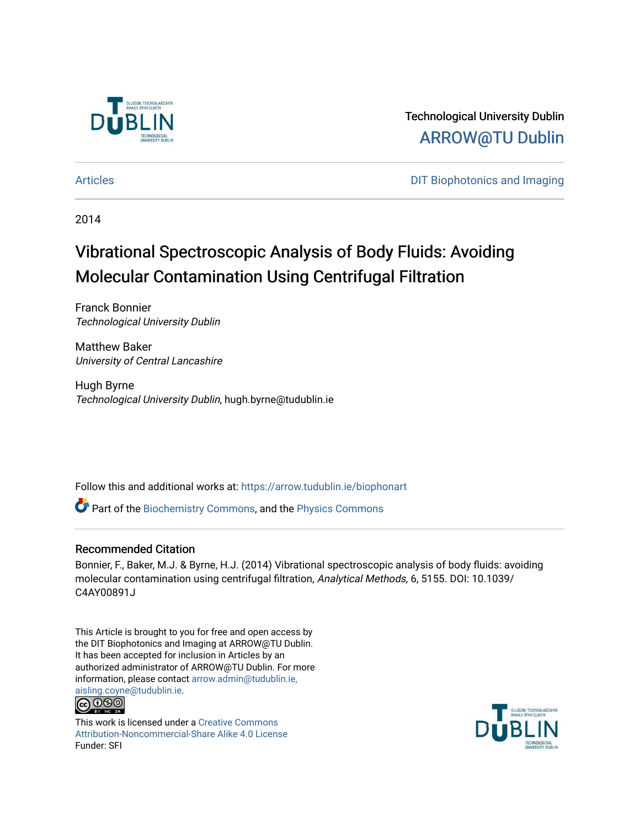

Technological University Dublin [ARROW@TU Dublin](https://arrow.tudublin.ie/) 

[Articles](https://arrow.tudublin.ie/biophonart) **DIT Biophotonics and Imaging** 

2014

# Vibrational Spectroscopic Analysis of Body Fluids: Avoiding Molecular Contamination Using Centrifugal Filtration

Franck Bonnier Technological University Dublin

Matthew Baker University of Central Lancashire

Hugh Byrne Technological University Dublin, hugh.byrne@tudublin.ie

Follow this and additional works at: [https://arrow.tudublin.ie/biophonart](https://arrow.tudublin.ie/biophonart?utm_source=arrow.tudublin.ie%2Fbiophonart%2F13&utm_medium=PDF&utm_campaign=PDFCoverPages)

Part of the [Biochemistry Commons](http://network.bepress.com/hgg/discipline/2?utm_source=arrow.tudublin.ie%2Fbiophonart%2F13&utm_medium=PDF&utm_campaign=PDFCoverPages), and the [Physics Commons](http://network.bepress.com/hgg/discipline/193?utm_source=arrow.tudublin.ie%2Fbiophonart%2F13&utm_medium=PDF&utm_campaign=PDFCoverPages)

#### Recommended Citation

Bonnier, F., Baker, M.J. & Byrne, H.J. (2014) Vibrational spectroscopic analysis of body fluids: avoiding molecular contamination using centrifugal filtration, Analytical Methods, 6, 5155. DOI: 10.1039/ C4AY00891J

This Article is brought to you for free and open access by the DIT Biophotonics and Imaging at ARROW@TU Dublin. It has been accepted for inclusion in Articles by an authorized administrator of ARROW@TU Dublin. For more information, please contact [arrow.admin@tudublin.ie,](mailto:arrow.admin@tudublin.ie,%20aisling.coyne@tudublin.ie)  [aisling.coyne@tudublin.ie.](mailto:arrow.admin@tudublin.ie,%20aisling.coyne@tudublin.ie)



This work is licensed under a [Creative Commons](http://creativecommons.org/licenses/by-nc-sa/4.0/) [Attribution-Noncommercial-Share Alike 4.0 License](http://creativecommons.org/licenses/by-nc-sa/4.0/) Funder: SFI

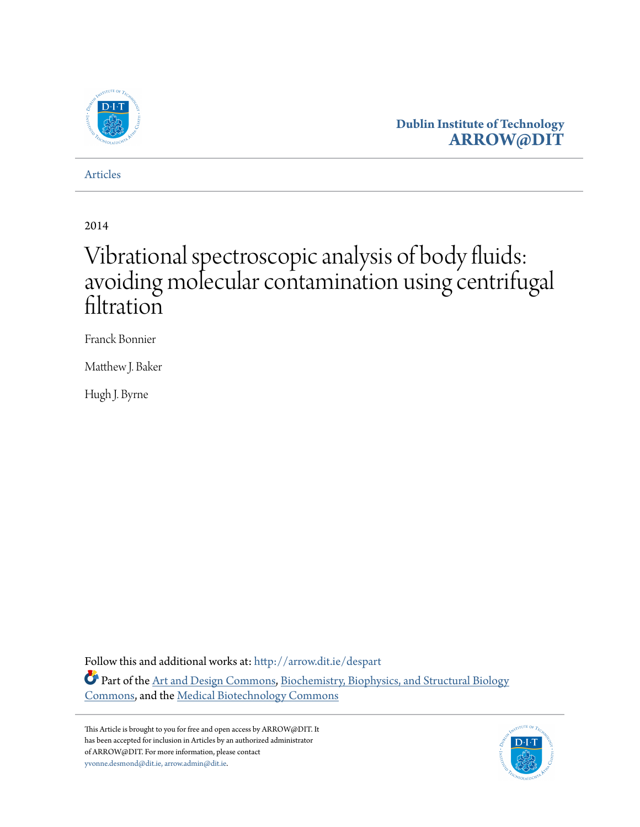

## **Dublin Institute of Technology [ARROW@DIT](http://arrow.dit.ie?utm_source=arrow.dit.ie%2Fdespart%2F6&utm_medium=PDF&utm_campaign=PDFCoverPages)**

[Articles](http://arrow.dit.ie/despart?utm_source=arrow.dit.ie%2Fdespart%2F6&utm_medium=PDF&utm_campaign=PDFCoverPages)

2014

# Vibrational spectroscopic analysis of body fluids: avoiding molecular contamination using centrifugal filtration

Franck Bonnier

Matthew J. Baker

Hugh J. Byrne

Follow this and additional works at: [http://arrow.dit.ie/despart](http://arrow.dit.ie/despart?utm_source=arrow.dit.ie%2Fdespart%2F6&utm_medium=PDF&utm_campaign=PDFCoverPages)

Part of the [Art and Design Commons,](http://network.bepress.com/hgg/discipline/1049?utm_source=arrow.dit.ie%2Fdespart%2F6&utm_medium=PDF&utm_campaign=PDFCoverPages) [Biochemistry, Biophysics, and Structural Biology](http://network.bepress.com/hgg/discipline/1?utm_source=arrow.dit.ie%2Fdespart%2F6&utm_medium=PDF&utm_campaign=PDFCoverPages) [Commons,](http://network.bepress.com/hgg/discipline/1?utm_source=arrow.dit.ie%2Fdespart%2F6&utm_medium=PDF&utm_campaign=PDFCoverPages) and the [Medical Biotechnology Commons](http://network.bepress.com/hgg/discipline/989?utm_source=arrow.dit.ie%2Fdespart%2F6&utm_medium=PDF&utm_campaign=PDFCoverPages)

This Article is brought to you for free and open access by ARROW@DIT. It has been accepted for inclusion in Articles by an authorized administrator of ARROW@DIT. For more information, please contact [yvonne.desmond@dit.ie, arrow.admin@dit.ie.](mailto:yvonne.desmond@dit.ie, arrow.admin@dit.ie)

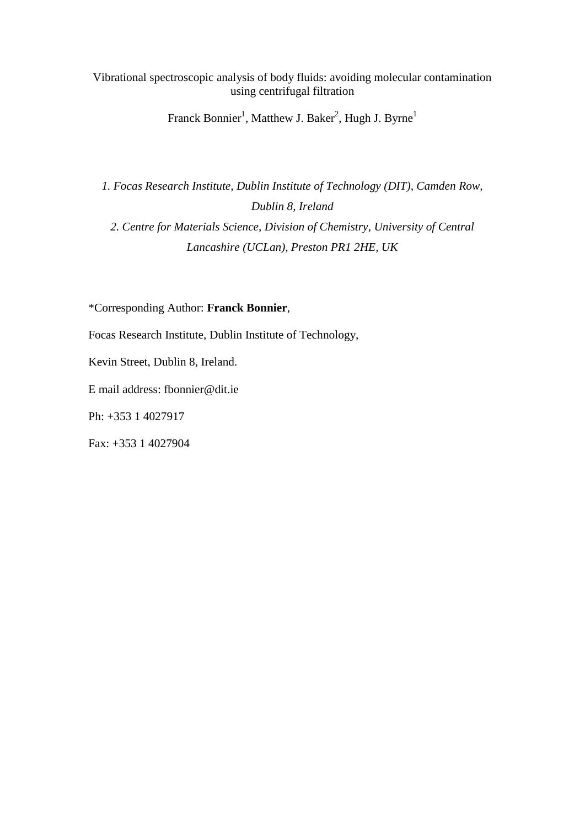Vibrational spectroscopic analysis of body fluids: avoiding molecular contamination using centrifugal filtration

Franck Bonnier<sup>1</sup>, Matthew J. Baker<sup>2</sup>, Hugh J. Byrne<sup>1</sup>

*1. Focas Research Institute, Dublin Institute of Technology (DIT), Camden Row, Dublin 8, Ireland 2. Centre for Materials Science, Division of Chemistry, University of Central Lancashire (UCLan), Preston PR1 2HE, UK*

\*Corresponding Author: **Franck Bonnier**,

Focas Research Institute, Dublin Institute of Technology,

Kevin Street, Dublin 8, Ireland.

E mail address: fbonnier@dit.ie

Ph: +353 1 4027917

Fax: +353 1 4027904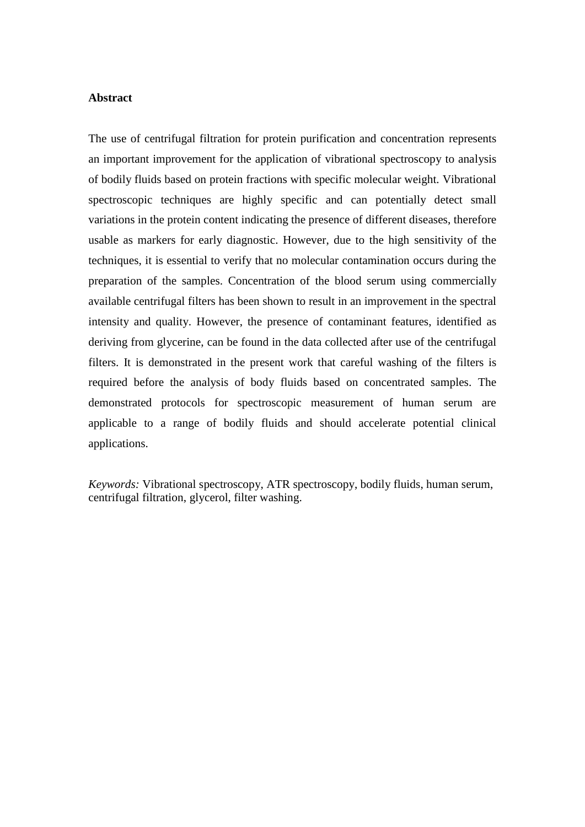#### **Abstract**

The use of centrifugal filtration for protein purification and concentration represents an important improvement for the application of vibrational spectroscopy to analysis of bodily fluids based on protein fractions with specific molecular weight. Vibrational spectroscopic techniques are highly specific and can potentially detect small variations in the protein content indicating the presence of different diseases, therefore usable as markers for early diagnostic. However, due to the high sensitivity of the techniques, it is essential to verify that no molecular contamination occurs during the preparation of the samples. Concentration of the blood serum using commercially available centrifugal filters has been shown to result in an improvement in the spectral intensity and quality. However, the presence of contaminant features, identified as deriving from glycerine, can be found in the data collected after use of the centrifugal filters. It is demonstrated in the present work that careful washing of the filters is required before the analysis of body fluids based on concentrated samples. The demonstrated protocols for spectroscopic measurement of human serum are applicable to a range of bodily fluids and should accelerate potential clinical applications.

*Keywords:* Vibrational spectroscopy, ATR spectroscopy, bodily fluids, human serum, centrifugal filtration, glycerol, filter washing.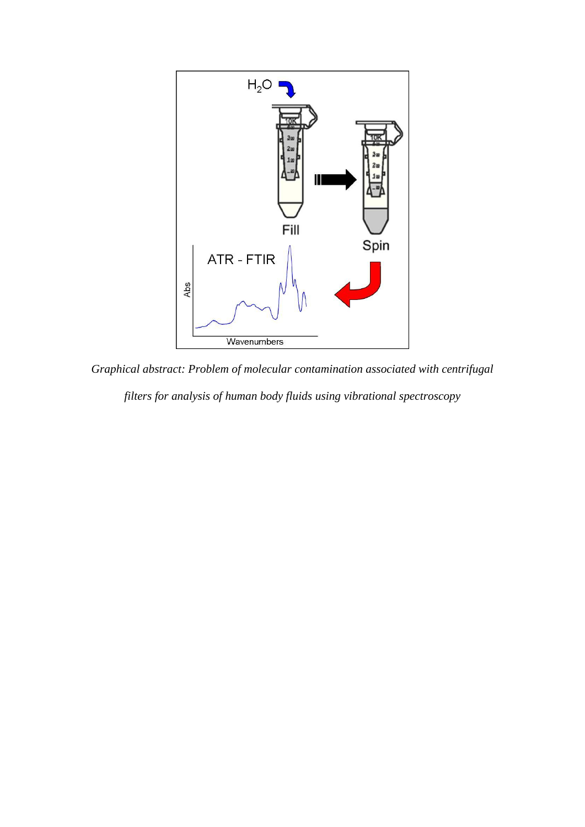

*Graphical abstract: Problem of molecular contamination associated with centrifugal filters for analysis of human body fluids using vibrational spectroscopy*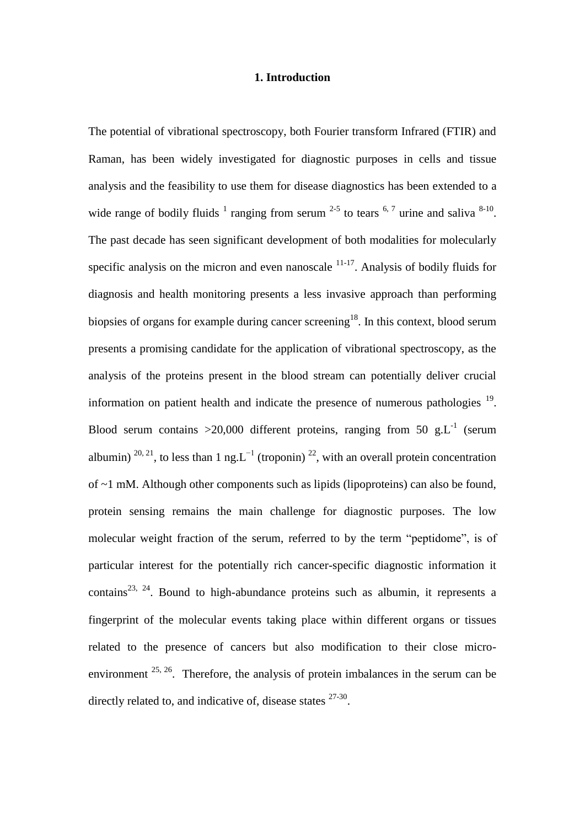#### **1. Introduction**

The potential of vibrational spectroscopy, both Fourier transform Infrared (FTIR) and Raman, has been widely investigated for diagnostic purposes in cells and tissue analysis and the feasibility to use them for disease diagnostics has been extended to a wide range of bodily fluids  $1$  ranging from serum  $2-5$  to tears  $6.7$  urine and saliva  $8-10$ . The past decade has seen significant development of both modalities for molecularly specific analysis on the micron and even nanoscale  $11-17$ . Analysis of bodily fluids for diagnosis and health monitoring presents a less invasive approach than performing biopsies of organs for example during cancer screening<sup>18</sup>. In this context, blood serum presents a promising candidate for the application of vibrational spectroscopy, as the analysis of the proteins present in the blood stream can potentially deliver crucial information on patient health and indicate the presence of numerous pathologies  $19$ . Blood serum contains > 20,000 different proteins, ranging from 50 g.L<sup>-1</sup> (serum albumin)  $^{20, 21}$ , to less than 1 ng.L<sup>-1</sup> (troponin)<sup>22</sup>, with an overall protein concentration of ~1 mM. Although other components such as lipids (lipoproteins) can also be found, protein sensing remains the main challenge for diagnostic purposes. The low molecular weight fraction of the serum, referred to by the term "peptidome", is of particular interest for the potentially rich cancer-specific diagnostic information it contains<sup>23, 24</sup>. Bound to high-abundance proteins such as albumin, it represents a fingerprint of the molecular events taking place within different organs or tissues related to the presence of cancers but also modification to their close microenvironment <sup>25, 26</sup>. Therefore, the analysis of protein imbalances in the serum can be directly related to, and indicative of, disease states  $27-30$ .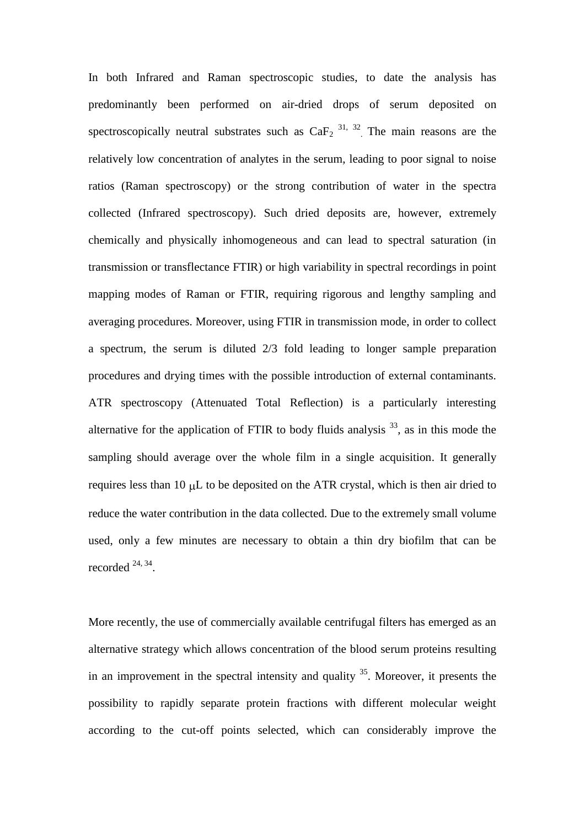In both Infrared and Raman spectroscopic studies, to date the analysis has predominantly been performed on air-dried drops of serum deposited on spectroscopically neutral substrates such as  $CaF<sub>2</sub>$ <sup>31, 32</sup>. The main reasons are the relatively low concentration of analytes in the serum, leading to poor signal to noise ratios (Raman spectroscopy) or the strong contribution of water in the spectra collected (Infrared spectroscopy). Such dried deposits are, however, extremely chemically and physically inhomogeneous and can lead to spectral saturation (in transmission or transflectance FTIR) or high variability in spectral recordings in point mapping modes of Raman or FTIR, requiring rigorous and lengthy sampling and averaging procedures. Moreover, using FTIR in transmission mode, in order to collect a spectrum, the serum is diluted 2/3 fold leading to longer sample preparation procedures and drying times with the possible introduction of external contaminants. ATR spectroscopy (Attenuated Total Reflection) is a particularly interesting alternative for the application of FTIR to body fluids analysis  $33$ , as in this mode the sampling should average over the whole film in a single acquisition. It generally requires less than 10  $\mu$ L to be deposited on the ATR crystal, which is then air dried to reduce the water contribution in the data collected. Due to the extremely small volume used, only a few minutes are necessary to obtain a thin dry biofilm that can be recorded  $24, 34$ .

More recently, the use of commercially available centrifugal filters has emerged as an alternative strategy which allows concentration of the blood serum proteins resulting in an improvement in the spectral intensity and quality  $35$ . Moreover, it presents the possibility to rapidly separate protein fractions with different molecular weight according to the cut-off points selected, which can considerably improve the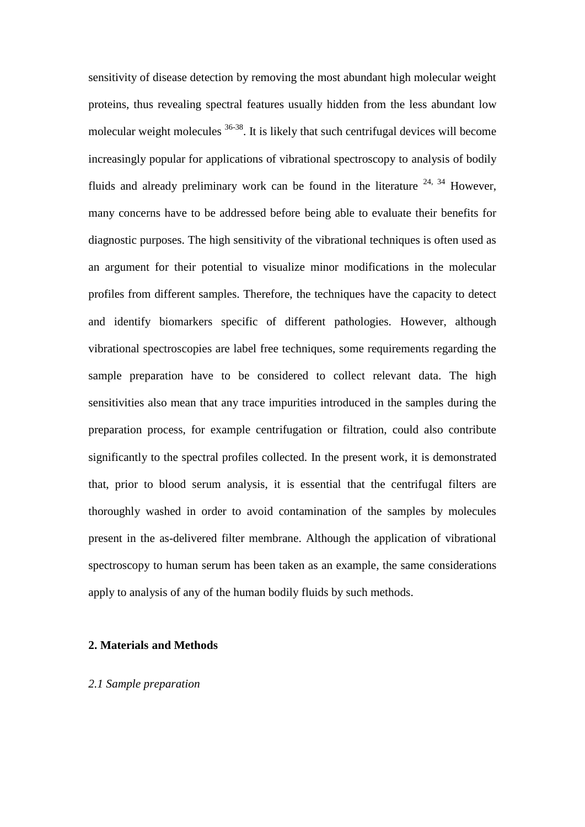sensitivity of disease detection by removing the most abundant high molecular weight proteins, thus revealing spectral features usually hidden from the less abundant low molecular weight molecules <sup>36-38</sup>. It is likely that such centrifugal devices will become increasingly popular for applications of vibrational spectroscopy to analysis of bodily fluids and already preliminary work can be found in the literature  $24$ ,  $34$  However, many concerns have to be addressed before being able to evaluate their benefits for diagnostic purposes. The high sensitivity of the vibrational techniques is often used as an argument for their potential to visualize minor modifications in the molecular profiles from different samples. Therefore, the techniques have the capacity to detect and identify biomarkers specific of different pathologies. However, although vibrational spectroscopies are label free techniques, some requirements regarding the sample preparation have to be considered to collect relevant data. The high sensitivities also mean that any trace impurities introduced in the samples during the preparation process, for example centrifugation or filtration, could also contribute significantly to the spectral profiles collected. In the present work, it is demonstrated that, prior to blood serum analysis, it is essential that the centrifugal filters are thoroughly washed in order to avoid contamination of the samples by molecules present in the as-delivered filter membrane. Although the application of vibrational spectroscopy to human serum has been taken as an example, the same considerations apply to analysis of any of the human bodily fluids by such methods.

#### **2. Materials and Methods**

#### *2.1 Sample preparation*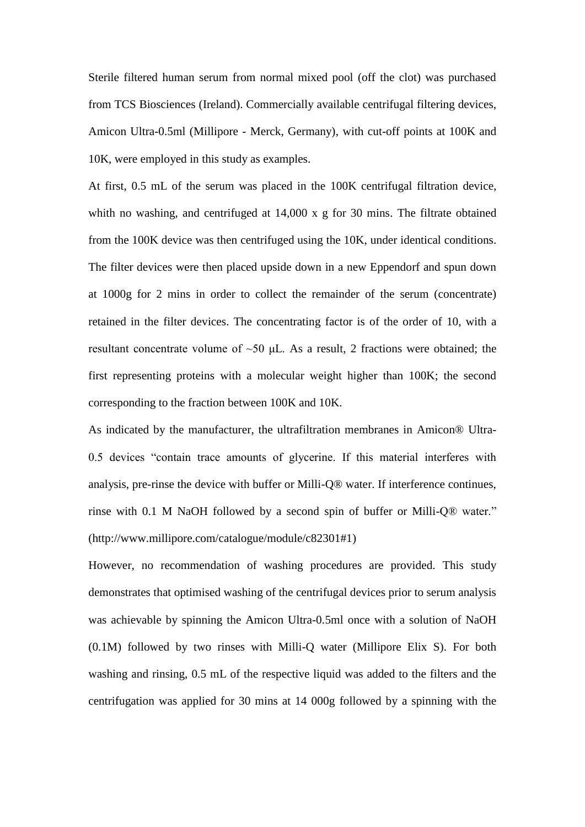Sterile filtered human serum from normal mixed pool (off the clot) was purchased from TCS Biosciences (Ireland). Commercially available centrifugal filtering devices, Amicon Ultra-0.5ml (Millipore - Merck, Germany), with cut-off points at 100K and 10K, were employed in this study as examples.

At first, 0.5 mL of the serum was placed in the 100K centrifugal filtration device, whith no washing, and centrifuged at 14,000 x g for 30 mins. The filtrate obtained from the 100K device was then centrifuged using the 10K, under identical conditions. The filter devices were then placed upside down in a new Eppendorf and spun down at 1000g for 2 mins in order to collect the remainder of the serum (concentrate) retained in the filter devices. The concentrating factor is of the order of 10, with a resultant concentrate volume of  $\sim 50$   $\mu$ L. As a result, 2 fractions were obtained; the first representing proteins with a molecular weight higher than 100K; the second corresponding to the fraction between 100K and 10K.

As indicated by the manufacturer, the ultrafiltration membranes in Amicon® Ultra-0.5 devices "contain trace amounts of glycerine. If this material interferes with analysis, pre-rinse the device with buffer or Milli-Q® water. If interference continues, rinse with 0.1 M NaOH followed by a second spin of buffer or Milli-Q® water." (http://www.millipore.com/catalogue/module/c82301#1)

However, no recommendation of washing procedures are provided. This study demonstrates that optimised washing of the centrifugal devices prior to serum analysis was achievable by spinning the Amicon Ultra-0.5ml once with a solution of NaOH (0.1M) followed by two rinses with Milli-Q water (Millipore Elix S). For both washing and rinsing, 0.5 mL of the respective liquid was added to the filters and the centrifugation was applied for 30 mins at 14 000g followed by a spinning with the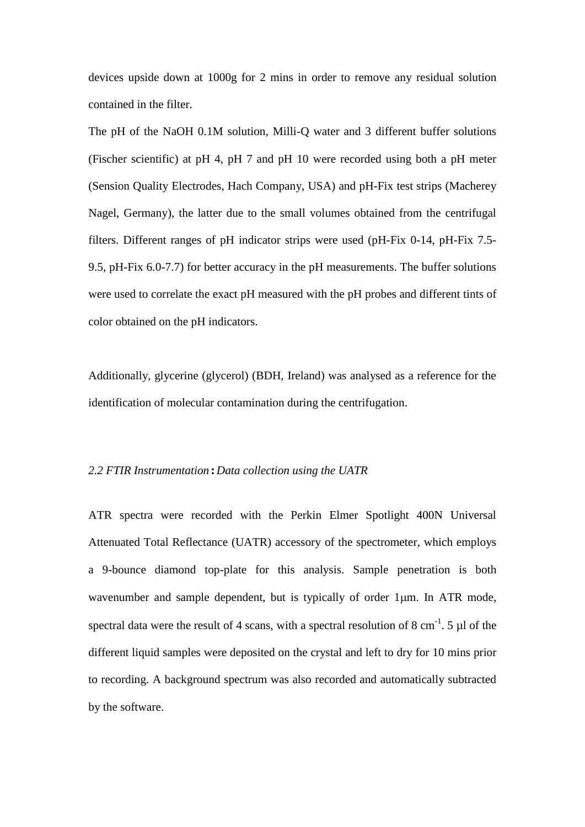devices upside down at 1000g for 2 mins in order to remove any residual solution contained in the filter.

The pH of the NaOH 0.1M solution, Milli-Q water and 3 different buffer solutions (Fischer scientific) at pH 4, pH 7 and pH 10 were recorded using both a pH meter (Sension Quality Electrodes, Hach Company, USA) and pH-Fix test strips (Macherey Nagel, Germany), the latter due to the small volumes obtained from the centrifugal filters. Different ranges of pH indicator strips were used (pH-Fix 0-14, pH-Fix 7.5- 9.5, pH-Fix 6.0-7.7) for better accuracy in the pH measurements. The buffer solutions were used to correlate the exact pH measured with the pH probes and different tints of color obtained on the pH indicators.

Additionally, glycerine (glycerol) (BDH, Ireland) was analysed as a reference for the identification of molecular contamination during the centrifugation.

#### *2.2 FTIR Instrumentation* **:** *Data collection using the UATR*

ATR spectra were recorded with the Perkin Elmer Spotlight 400N Universal Attenuated Total Reflectance (UATR) accessory of the spectrometer, which employs a 9-bounce diamond top-plate for this analysis. Sample penetration is both wavenumber and sample dependent, but is typically of order 1um. In ATR mode, spectral data were the result of 4 scans, with a spectral resolution of 8 cm<sup>-1</sup>. 5  $\mu$ l of the different liquid samples were deposited on the crystal and left to dry for 10 mins prior to recording. A background spectrum was also recorded and automatically subtracted by the software.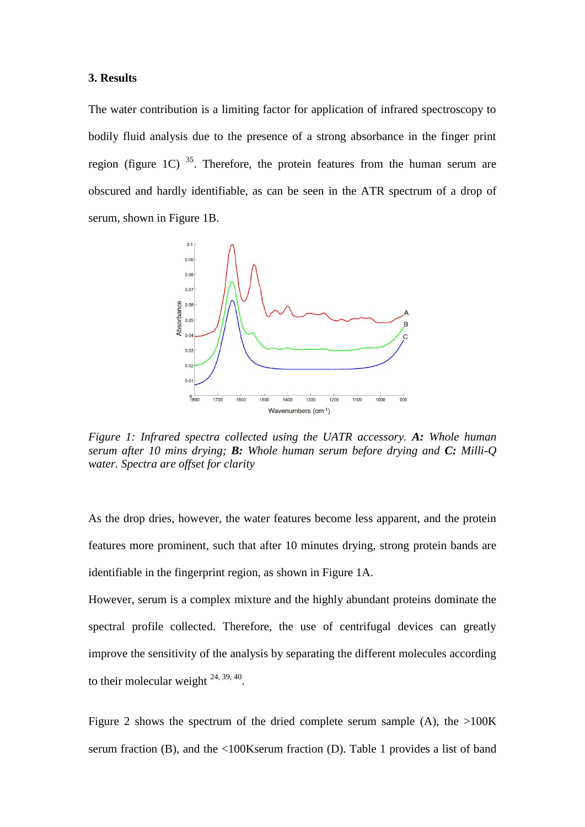#### **3. Results**

The water contribution is a limiting factor for application of infrared spectroscopy to bodily fluid analysis due to the presence of a strong absorbance in the finger print region (figure 1C)  $35$ . Therefore, the protein features from the human serum are obscured and hardly identifiable, as can be seen in the ATR spectrum of a drop of serum, shown in Figure 1B.



*Figure 1: Infrared spectra collected using the UATR accessory. A: Whole human serum after 10 mins drying; B: Whole human serum before drying and C: Milli-Q water. Spectra are offset for clarity*

As the drop dries, however, the water features become less apparent, and the protein features more prominent, such that after 10 minutes drying, strong protein bands are identifiable in the fingerprint region, as shown in Figure 1A.

However, serum is a complex mixture and the highly abundant proteins dominate the spectral profile collected. Therefore, the use of centrifugal devices can greatly improve the sensitivity of the analysis by separating the different molecules according to their molecular weight  $24, 39, 40$ .

Figure 2 shows the spectrum of the dried complete serum sample (A), the  $>100K$ serum fraction (B), and the <100Kserum fraction (D). Table 1 provides a list of band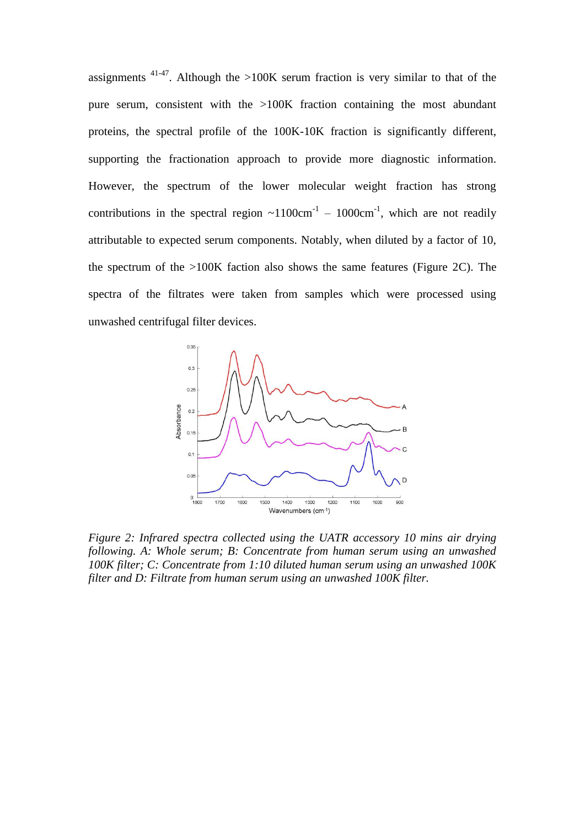assignments  $41-47$ . Although the >100K serum fraction is very similar to that of the pure serum, consistent with the >100K fraction containing the most abundant proteins, the spectral profile of the 100K-10K fraction is significantly different, supporting the fractionation approach to provide more diagnostic information. However, the spectrum of the lower molecular weight fraction has strong contributions in the spectral region  $\sim 1100 \text{cm}^{-1}$  – 1000cm<sup>-1</sup>, which are not readily attributable to expected serum components. Notably, when diluted by a factor of 10, the spectrum of the >100K faction also shows the same features (Figure 2C). The spectra of the filtrates were taken from samples which were processed using unwashed centrifugal filter devices.



*Figure 2: Infrared spectra collected using the UATR accessory 10 mins air drying following. A: Whole serum; B: Concentrate from human serum using an unwashed 100K filter; C: Concentrate from 1:10 diluted human serum using an unwashed 100K filter and D: Filtrate from human serum using an unwashed 100K filter.*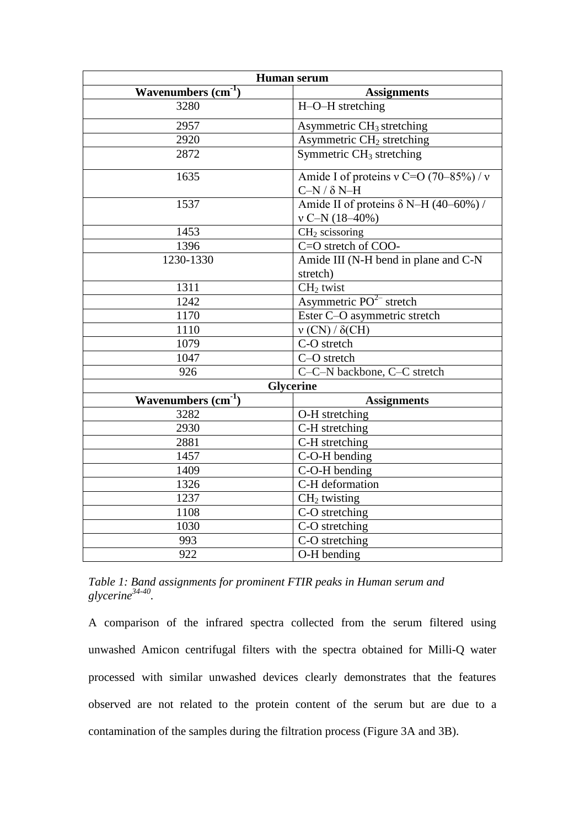| Human serum          |                                                                  |
|----------------------|------------------------------------------------------------------|
| Wavenumbers $(cm-1)$ | <b>Assignments</b>                                               |
| 3280                 | H-O-H stretching                                                 |
| 2957                 | Asymmetric CH <sub>3</sub> stretching                            |
| 2920                 | Asymmetric CH <sub>2</sub> stretching                            |
| 2872                 | Symmetric CH <sub>3</sub> stretching                             |
| 1635                 | Amide I of proteins v C=O $(70-85%)/v$<br>$C-N/\delta N-H$       |
| 1537                 | Amide II of proteins $\delta$ N-H (40–60%) /<br>$v$ C-N (18-40%) |
| 1453                 | $CH2$ scissoring                                                 |
| 1396                 | C=O stretch of COO-                                              |
| 1230-1330            | Amide III (N-H bend in plane and C-N                             |
| 1311                 | stretch)<br>CH <sub>2</sub> twist                                |
| 1242                 | Asymmetric $\overline{PO^{2-}}$ stretch                          |
| 1170                 | Ester C-O asymmetric stretch                                     |
| 1110                 | $v$ (CN) / $\delta$ (CH)                                         |
| $\overline{1}079$    | C-O stretch                                                      |
| 1047                 | C-O stretch                                                      |
| 926                  | C-C-N backbone, C-C stretch                                      |
| <b>Glycerine</b>     |                                                                  |
| Wavenumbers $(cm-1)$ | <b>Assignments</b>                                               |
| 3282                 | O-H stretching                                                   |
| 2930                 | C-H stretching                                                   |
| 2881                 | C-H stretching                                                   |
| 1457                 | C-O-H bending                                                    |
| 1409                 | C-O-H bending                                                    |
| 1326                 | C-H deformation                                                  |
| 1237                 | $CH2$ twisting                                                   |
| 1108                 | C-O stretching                                                   |
| 1030                 | $\overline{C-O}$ stretching                                      |
| 993                  | C-O stretching                                                   |
| 922                  | O-H bending                                                      |

*Table 1: Band assignments for prominent FTIR peaks in Human serum and glycerine34-40 .*

A comparison of the infrared spectra collected from the serum filtered using unwashed Amicon centrifugal filters with the spectra obtained for Milli-Q water processed with similar unwashed devices clearly demonstrates that the features observed are not related to the protein content of the serum but are due to a contamination of the samples during the filtration process (Figure 3A and 3B).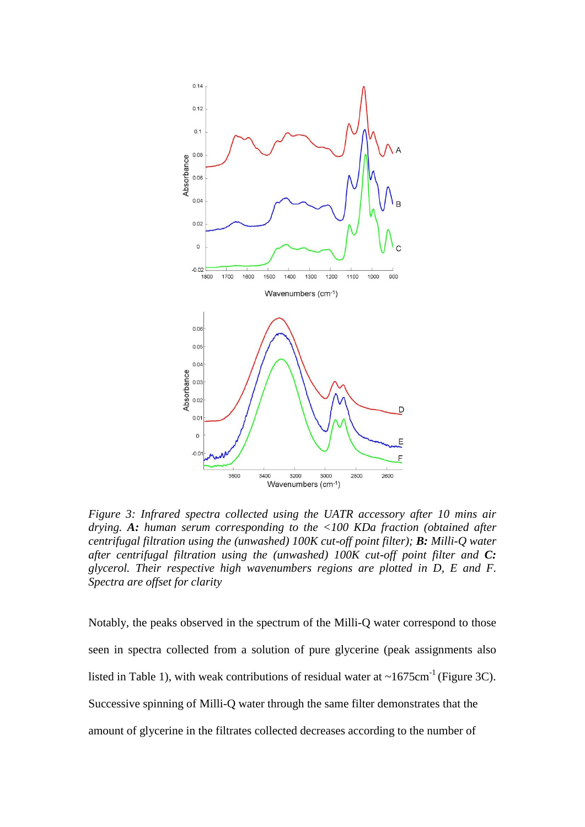

*Figure 3: Infrared spectra collected using the UATR accessory after 10 mins air drying. A: human serum corresponding to the <100 KDa fraction (obtained after centrifugal filtration using the (unwashed) 100K cut-off point filter); B: Milli-Q water after centrifugal filtration using the (unwashed) 100K cut-off point filter and C: glycerol. Their respective high wavenumbers regions are plotted in D, E and F. Spectra are offset for clarity*

Notably, the peaks observed in the spectrum of the Milli-Q water correspond to those seen in spectra collected from a solution of pure glycerine (peak assignments also listed in Table 1), with weak contributions of residual water at  $\sim 1675 \text{cm}^{-1}$  (Figure 3C). Successive spinning of Milli-Q water through the same filter demonstrates that the amount of glycerine in the filtrates collected decreases according to the number of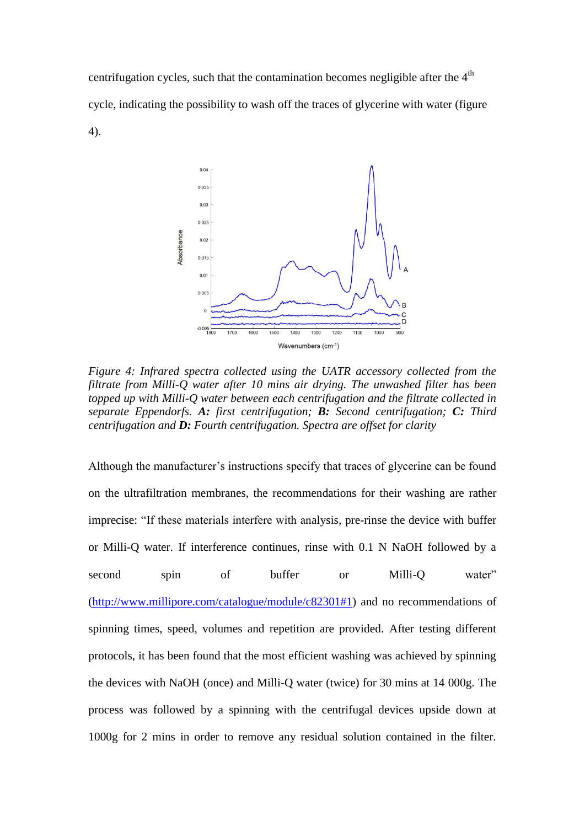centrifugation cycles, such that the contamination becomes negligible after the  $4<sup>th</sup>$ cycle, indicating the possibility to wash off the traces of glycerine with water (figure 4).



*Figure 4: Infrared spectra collected using the UATR accessory collected from the filtrate from Milli-Q water after 10 mins air drying. The unwashed filter has been topped up with Milli-Q water between each centrifugation and the filtrate collected in separate Eppendorfs. A: first centrifugation; B: Second centrifugation; C: Third centrifugation and D: Fourth centrifugation. Spectra are offset for clarity* 

Although the manufacturer's instructions specify that traces of glycerine can be found on the ultrafiltration membranes, the recommendations for their washing are rather imprecise: "If these materials interfere with analysis, pre-rinse the device with buffer or Milli-Q water. If interference continues, rinse with 0.1 N NaOH followed by a second spin of buffer or Milli-Q water" [\(http://www.millipore.com/catalogue/module/c82301#1\)](http://www.millipore.com/catalogue/module/c82301#1) and no recommendations of spinning times, speed, volumes and repetition are provided. After testing different protocols, it has been found that the most efficient washing was achieved by spinning the devices with NaOH (once) and Milli-Q water (twice) for 30 mins at 14 000g. The process was followed by a spinning with the centrifugal devices upside down at 1000g for 2 mins in order to remove any residual solution contained in the filter.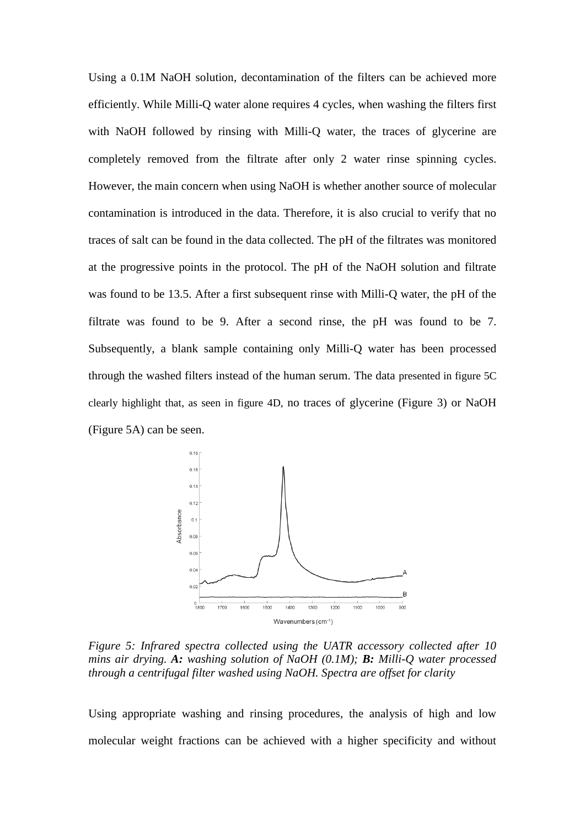Using a 0.1M NaOH solution, decontamination of the filters can be achieved more efficiently. While Milli-Q water alone requires 4 cycles, when washing the filters first with NaOH followed by rinsing with Milli-Q water, the traces of glycerine are completely removed from the filtrate after only 2 water rinse spinning cycles. However, the main concern when using NaOH is whether another source of molecular contamination is introduced in the data. Therefore, it is also crucial to verify that no traces of salt can be found in the data collected. The pH of the filtrates was monitored at the progressive points in the protocol. The pH of the NaOH solution and filtrate was found to be 13.5. After a first subsequent rinse with Milli-Q water, the pH of the filtrate was found to be 9. After a second rinse, the pH was found to be 7. Subsequently, a blank sample containing only Milli-Q water has been processed through the washed filters instead of the human serum. The data presented in figure 5C clearly highlight that, as seen in figure 4D, no traces of glycerine (Figure 3) or NaOH (Figure 5A) can be seen.



*Figure 5: Infrared spectra collected using the UATR accessory collected after 10 mins air drying. A: washing solution of NaOH (0.1M); B: Milli-Q water processed through a centrifugal filter washed using NaOH. Spectra are offset for clarity*

Using appropriate washing and rinsing procedures, the analysis of high and low molecular weight fractions can be achieved with a higher specificity and without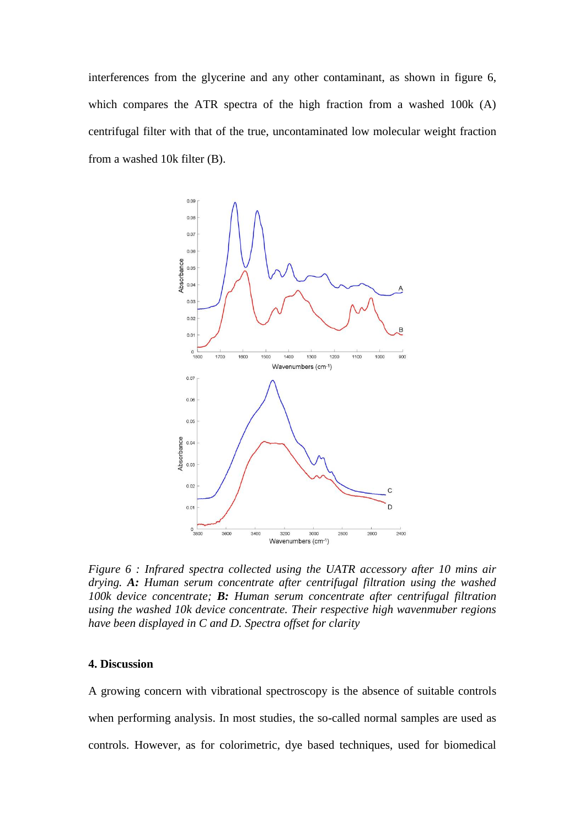interferences from the glycerine and any other contaminant, as shown in figure 6, which compares the ATR spectra of the high fraction from a washed 100k (A) centrifugal filter with that of the true, uncontaminated low molecular weight fraction from a washed 10k filter (B).



*Figure 6 : Infrared spectra collected using the UATR accessory after 10 mins air drying. A: Human serum concentrate after centrifugal filtration using the washed 100k device concentrate; B: Human serum concentrate after centrifugal filtration using the washed 10k device concentrate. Their respective high wavenmuber regions have been displayed in C and D. Spectra offset for clarity*

#### **4. Discussion**

A growing concern with vibrational spectroscopy is the absence of suitable controls when performing analysis. In most studies, the so-called normal samples are used as controls. However, as for colorimetric, dye based techniques, used for biomedical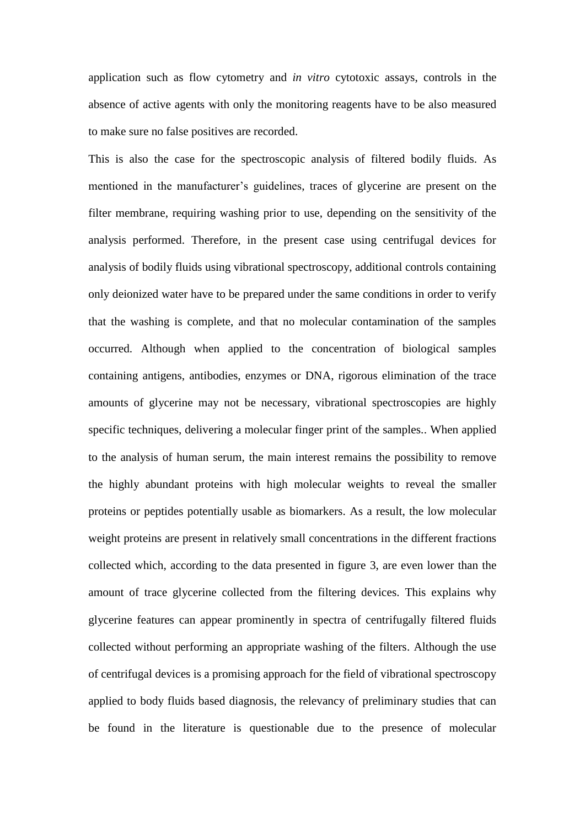application such as flow cytometry and *in vitro* cytotoxic assays, controls in the absence of active agents with only the monitoring reagents have to be also measured to make sure no false positives are recorded.

This is also the case for the spectroscopic analysis of filtered bodily fluids. As mentioned in the manufacturer's guidelines, traces of glycerine are present on the filter membrane, requiring washing prior to use, depending on the sensitivity of the analysis performed. Therefore, in the present case using centrifugal devices for analysis of bodily fluids using vibrational spectroscopy, additional controls containing only deionized water have to be prepared under the same conditions in order to verify that the washing is complete, and that no molecular contamination of the samples occurred. Although when applied to the concentration of biological samples containing antigens, antibodies, enzymes or DNA, rigorous elimination of the trace amounts of glycerine may not be necessary, vibrational spectroscopies are highly specific techniques, delivering a molecular finger print of the samples.. When applied to the analysis of human serum, the main interest remains the possibility to remove the highly abundant proteins with high molecular weights to reveal the smaller proteins or peptides potentially usable as biomarkers. As a result, the low molecular weight proteins are present in relatively small concentrations in the different fractions collected which, according to the data presented in figure 3, are even lower than the amount of trace glycerine collected from the filtering devices. This explains why glycerine features can appear prominently in spectra of centrifugally filtered fluids collected without performing an appropriate washing of the filters. Although the use of centrifugal devices is a promising approach for the field of vibrational spectroscopy applied to body fluids based diagnosis, the relevancy of preliminary studies that can be found in the literature is questionable due to the presence of molecular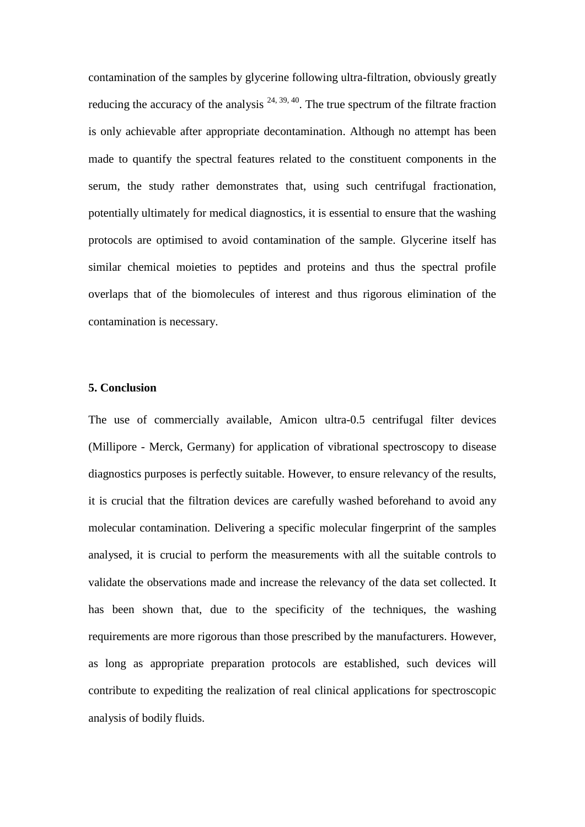contamination of the samples by glycerine following ultra-filtration, obviously greatly reducing the accuracy of the analysis  $24, 39, 40$ . The true spectrum of the filtrate fraction is only achievable after appropriate decontamination. Although no attempt has been made to quantify the spectral features related to the constituent components in the serum, the study rather demonstrates that, using such centrifugal fractionation, potentially ultimately for medical diagnostics, it is essential to ensure that the washing protocols are optimised to avoid contamination of the sample. Glycerine itself has similar chemical moieties to peptides and proteins and thus the spectral profile overlaps that of the biomolecules of interest and thus rigorous elimination of the contamination is necessary.

#### **5. Conclusion**

The use of commercially available, Amicon ultra-0.5 centrifugal filter devices (Millipore - Merck, Germany) for application of vibrational spectroscopy to disease diagnostics purposes is perfectly suitable. However, to ensure relevancy of the results, it is crucial that the filtration devices are carefully washed beforehand to avoid any molecular contamination. Delivering a specific molecular fingerprint of the samples analysed, it is crucial to perform the measurements with all the suitable controls to validate the observations made and increase the relevancy of the data set collected. It has been shown that, due to the specificity of the techniques, the washing requirements are more rigorous than those prescribed by the manufacturers. However, as long as appropriate preparation protocols are established, such devices will contribute to expediting the realization of real clinical applications for spectroscopic analysis of bodily fluids.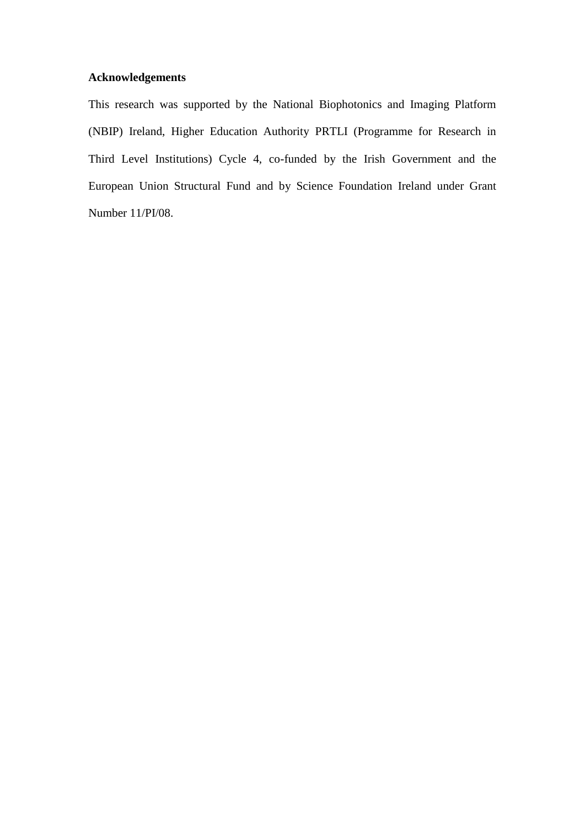### **Acknowledgements**

This research was supported by the National Biophotonics and Imaging Platform (NBIP) Ireland, Higher Education Authority PRTLI (Programme for Research in Third Level Institutions) Cycle 4, co-funded by the Irish Government and the European Union Structural Fund and by Science Foundation Ireland under Grant Number 11/PI/08.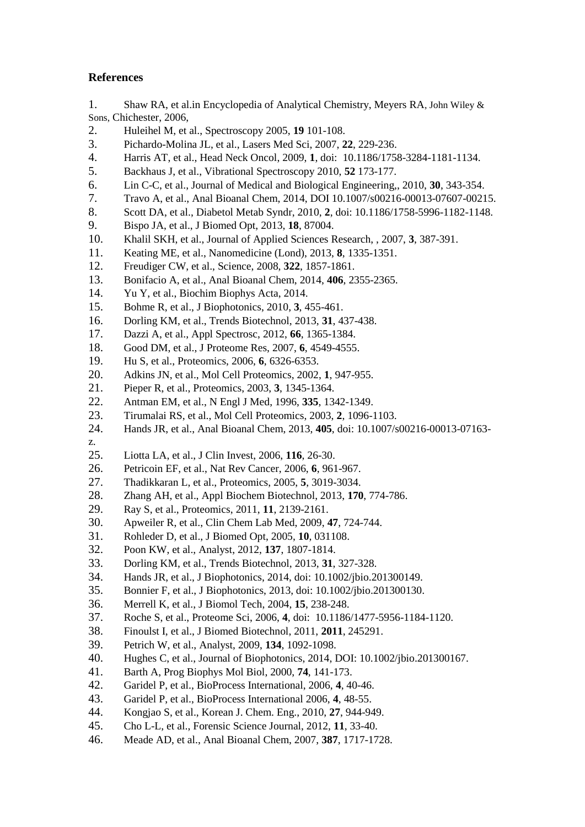### **References**

1. Shaw RA, et al.in Encyclopedia of Analytical Chemistry, Meyers RA, John Wiley & Sons, Chichester, 2006,

- 2. Huleihel M, et al., Spectroscopy 2005, **19** 101-108.
- 3. Pichardo-Molina JL, et al., Lasers Med Sci, 2007, **22**, 229-236.
- 4. Harris AT, et al., Head Neck Oncol, 2009, **1**, doi: 10.1186/1758-3284-1181-1134.
- 5. Backhaus J, et al., Vibrational Spectroscopy 2010, **52** 173-177.
- 6. Lin C-C, et al., Journal of Medical and Biological Engineering,, 2010, **30**, 343-354.
- 7. Travo A, et al., Anal Bioanal Chem, 2014, DOI 10.1007/s00216-00013-07607-00215.
- 8. Scott DA, et al., Diabetol Metab Syndr, 2010, **2**, doi: 10.1186/1758-5996-1182-1148.
- 9. Bispo JA, et al., J Biomed Opt, 2013, **18**, 87004.
- 10. Khalil SKH, et al., Journal of Applied Sciences Research, , 2007, **3**, 387-391.
- 11. Keating ME, et al., Nanomedicine (Lond), 2013, **8**, 1335-1351.
- 12. Freudiger CW, et al., Science, 2008, **322**, 1857-1861.
- 13. Bonifacio A, et al., Anal Bioanal Chem, 2014, **406**, 2355-2365.
- 14. Yu Y, et al., Biochim Biophys Acta, 2014.
- 15. Bohme R, et al., J Biophotonics, 2010, **3**, 455-461.
- 16. Dorling KM, et al., Trends Biotechnol, 2013, **31**, 437-438.
- 17. Dazzi A, et al., Appl Spectrosc, 2012, **66**, 1365-1384.
- 18. Good DM, et al., J Proteome Res, 2007, **6**, 4549-4555.
- 19. Hu S, et al., Proteomics, 2006, **6**, 6326-6353.
- 20. Adkins JN, et al., Mol Cell Proteomics, 2002, **1**, 947-955.
- 21. Pieper R, et al., Proteomics, 2003, **3**, 1345-1364.
- 22. Antman EM, et al., N Engl J Med, 1996, **335**, 1342-1349.
- 23. Tirumalai RS, et al., Mol Cell Proteomics, 2003, **2**, 1096-1103.
- 24. Hands JR, et al., Anal Bioanal Chem, 2013, **405**, doi: 10.1007/s00216-00013-07163-
- z. 25. Liotta LA, et al., J Clin Invest, 2006, **116**, 26-30.
- 26. Petricoin EF, et al., Nat Rev Cancer, 2006, **6**, 961-967.
- 27. Thadikkaran L, et al., Proteomics, 2005, **5**, 3019-3034.
- 28. Zhang AH, et al., Appl Biochem Biotechnol, 2013, **170**, 774-786.
- 29. Ray S, et al., Proteomics, 2011, **11**, 2139-2161.
- 30. Apweiler R, et al., Clin Chem Lab Med, 2009, **47**, 724-744.
- 31. Rohleder D, et al., J Biomed Opt, 2005, **10**, 031108.
- 32. Poon KW, et al., Analyst, 2012, **137**, 1807-1814.
- 33. Dorling KM, et al., Trends Biotechnol, 2013, **31**, 327-328.
- 34. Hands JR, et al., J Biophotonics, 2014, doi: 10.1002/jbio.201300149.
- 35. Bonnier F, et al., J Biophotonics, 2013, doi: 10.1002/jbio.201300130.
- 36. Merrell K, et al., J Biomol Tech, 2004, **15**, 238-248.
- 37. Roche S, et al., Proteome Sci, 2006, **4**, doi: 10.1186/1477-5956-1184-1120.
- 38. Finoulst I, et al., J Biomed Biotechnol, 2011, **2011**, 245291.
- 39. Petrich W, et al., Analyst, 2009, **134**, 1092-1098.
- 40. Hughes C, et al., Journal of Biophotonics, 2014, DOI: 10.1002/jbio.201300167.
- 41. Barth A, Prog Biophys Mol Biol, 2000, **74**, 141-173.
- 42. Garidel P, et al., BioProcess International, 2006, **4**, 40-46.
- 43. Garidel P, et al., BioProcess International 2006, **4**, 48-55.
- 44. Kongjao S, et al., Korean J. Chem. Eng., 2010, **27**, 944-949.
- 45. Cho L-L, et al., Forensic Science Journal, 2012, **11**, 33-40.
- 46. Meade AD, et al., Anal Bioanal Chem, 2007, **387**, 1717-1728.